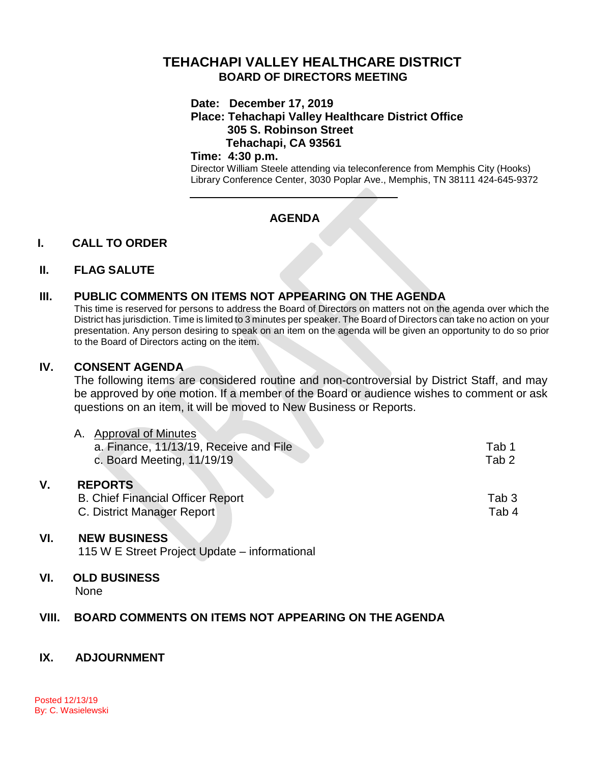# **TEHACHAPI VALLEY HEALTHCARE DISTRICT BOARD OF DIRECTORS MEETING**

#### **Date: December 17, 2019**

**Place: Tehachapi Valley Healthcare District Office 305 S. Robinson Street Tehachapi, CA 93561**

### **Time: 4:30 p.m.**

Director William Steele attending via teleconference from Memphis City (Hooks) Library Conference Center, 3030 Poplar Ave., Memphis, TN 38111 424-645-9372

# **AGENDA**

## **I. CALL TO ORDER**

### **II. FLAG SALUTE**

## **III. PUBLIC COMMENTS ON ITEMS NOT APPEARING ON THE AGENDA**

This time is reserved for persons to address the Board of Directors on matters not on the agenda over which the District has jurisdiction. Time is limited to 3 minutes per speaker. The Board of Directors can take no action on your presentation. Any person desiring to speak on an item on the agenda will be given an opportunity to do so prior to the Board of Directors acting on the item.

### **IV. CONSENT AGENDA**

The following items are considered routine and non-controversial by District Staff, and may be approved by one motion. If a member of the Board or audience wishes to comment or ask questions on an item, it will be moved to New Business or Reports.

|  | <b>Approval of Minutes</b>               |                  |
|--|------------------------------------------|------------------|
|  | a. Finance, 11/13/19, Receive and File   | Tab 1            |
|  | c. Board Meeting, 11/19/19               | Tab <sub>2</sub> |
|  | <b>REPORTS</b>                           |                  |
|  | <b>B. Chief Financial Officer Report</b> | Tab 3            |
|  | C. District Manager Report               | Tab 4            |

### **VI. NEW BUSINESS**

115 W E Street Project Update – informational

#### **VI. OLD BUSINESS** None

## **VIII. BOARD COMMENTS ON ITEMS NOT APPEARING ON THE AGENDA**

## **IX. ADJOURNMENT**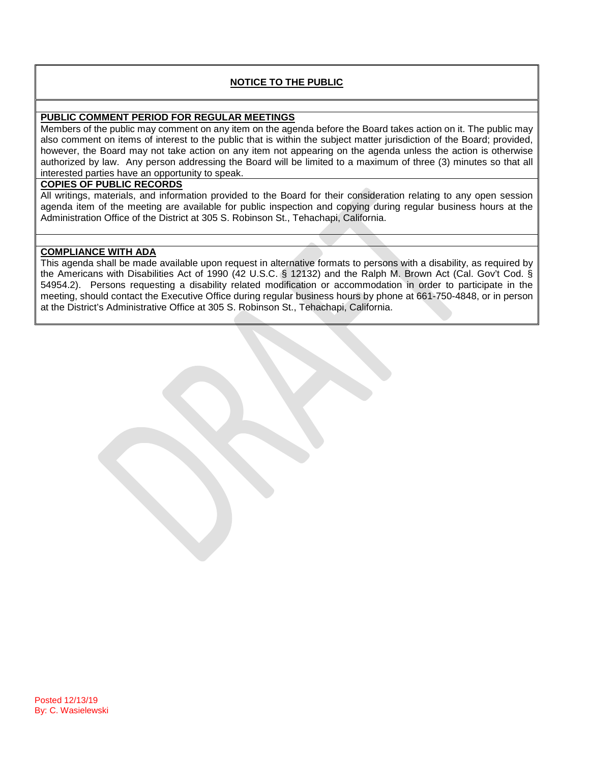### **NOTICE TO THE PUBLIC**

#### **PUBLIC COMMENT PERIOD FOR REGULAR MEETINGS**

Members of the public may comment on any item on the agenda before the Board takes action on it. The public may also comment on items of interest to the public that is within the subject matter jurisdiction of the Board; provided, however, the Board may not take action on any item not appearing on the agenda unless the action is otherwise authorized by law. Any person addressing the Board will be limited to a maximum of three (3) minutes so that all interested parties have an opportunity to speak.

#### **COPIES OF PUBLIC RECORDS**

All writings, materials, and information provided to the Board for their consideration relating to any open session agenda item of the meeting are available for public inspection and copying during regular business hours at the Administration Office of the District at 305 S. Robinson St., Tehachapi, California.

#### **COMPLIANCE WITH ADA**

This agenda shall be made available upon request in alternative formats to persons with a disability, as required by the Americans with Disabilities Act of 1990 (42 U.S.C. § 12132) and the Ralph M. Brown Act (Cal. Gov't Cod. § 54954.2). Persons requesting a disability related modification or accommodation in order to participate in the meeting, should contact the Executive Office during regular business hours by phone at 661-750-4848, or in person at the District's Administrative Office at 305 S. Robinson St., Tehachapi, California.